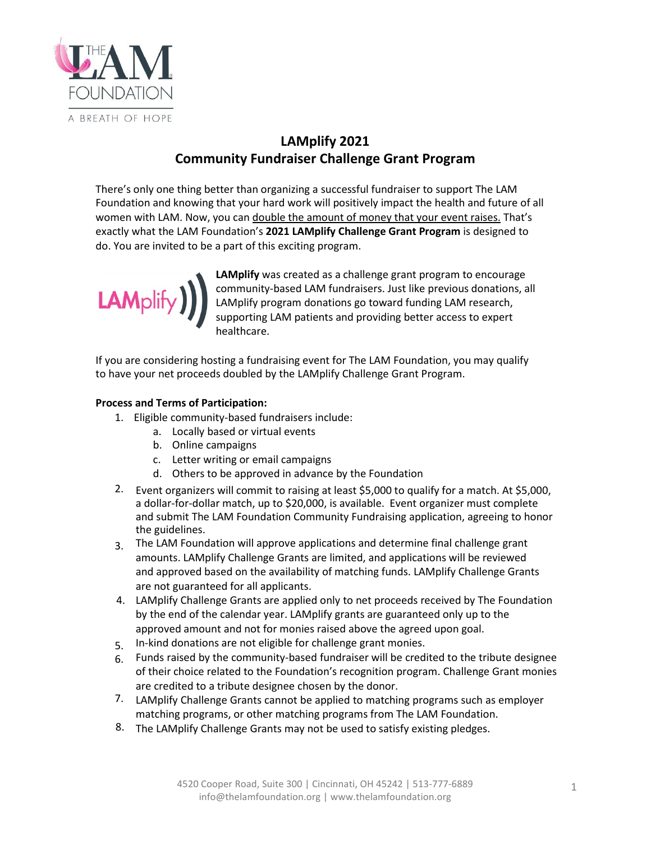

## **LAMplify 2021 Community Fundraiser Challenge Grant Program**

There's only one thing better than organizing a successful fundraiser to support The LAM Foundation and knowing that your hard work will positively impact the health and future of all women with LAM. Now, you can double the amount of money that your event raises. That's exactly what the LAM Foundation's **2021 LAMplify Challenge Grant Program** is designed to do. You are invited to be a part of this exciting program.



**LAMplify** was created as a challenge grant program to encourage community-based LAM fundraisers. Just like previous donations, all LAMplify program donations go toward funding LAM research, supporting LAM patients and providing better access to expert healthcare.

If you are considering hosting a fundraising event for The LAM Foundation, you may qualify to have your net proceeds doubled by the LAMplify Challenge Grant Program.

## **Process and Terms of Participation:**

1. Eligible community-based fundraisers include:

- a. Locally based or virtual events
- b. Online campaigns
- c. Letter writing or email campaigns
- d. Others to be approved in advance by the Foundation
- 2. Event organizers will commit to raising at least \$5,000 to qualify for a match. At \$5,000, a dollar-for-dollar match, up to \$20,000, is available. Event organizer must complete and submit The LAM Foundation Community Fundraising application, agreeing to honor the guidelines.
- The LAM Foundation will approve applications and determine final challenge grant 3. amounts. LAMplify Challenge Grants are limited, and applications will be reviewed and approved based on the availability of matching funds. LAMplify Challenge Grants are not guaranteed for all applicants.
- LAMplify Challenge Grants are applied only to net proceeds received by The Foundation 4. by the end of the calendar year. LAMplify grants are guaranteed only up to the approved amount and not for monies raised above the agreed upon goal.
- In-kind donations are not eligible for challenge grant monies. 5.
- Funds raised by the community-based fundraiser will be credited to the tribute designee 6. of their choice related to the Foundation's recognition program. Challenge Grant monies are credited to a tribute designee chosen by the donor.
- 7. LAMplify Challenge Grants cannot be applied to matching programs such as employer matching programs, or other matching programs from The LAM Foundation.
- The LAMplify Challenge Grants may not be used to satisfy existing pledges. 8.